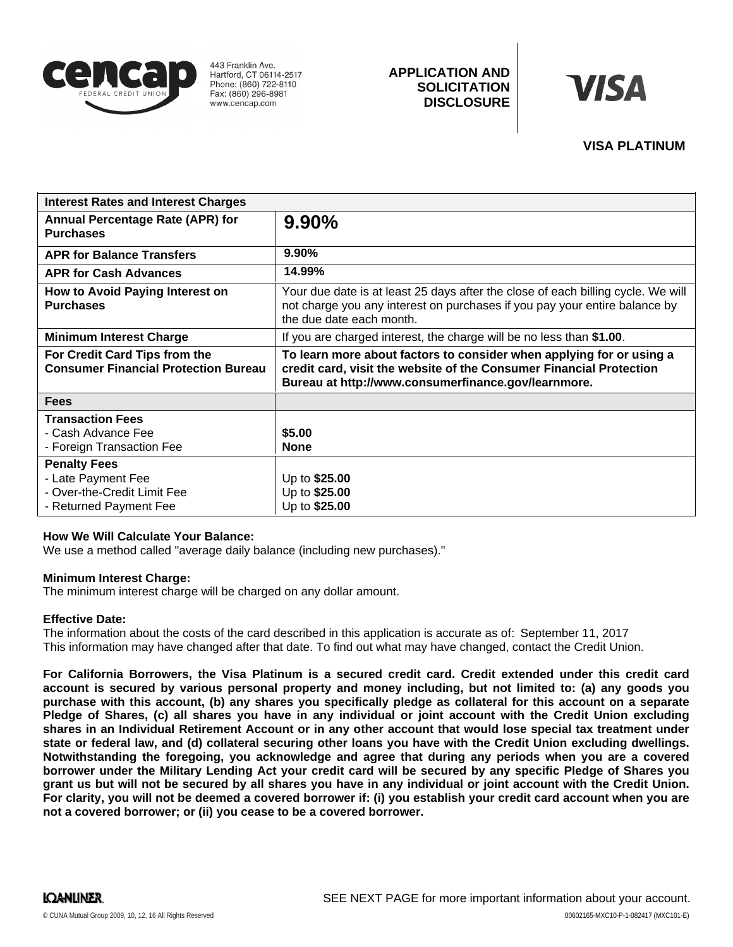

443 Franklin Ave. Hartford, CT 06114-2517 Phone: (860) 722-8110 Fax: (860) 296-8981 www.cencap.com

# **APPLICATION AND SOLICITATION DISCLOSURE**



## **VISA PLATINUM**

| <b>Interest Rates and Interest Charges</b>                                                         |                                                                                                                                                                                                    |
|----------------------------------------------------------------------------------------------------|----------------------------------------------------------------------------------------------------------------------------------------------------------------------------------------------------|
| <b>Annual Percentage Rate (APR) for</b><br><b>Purchases</b>                                        | 9.90%                                                                                                                                                                                              |
| <b>APR for Balance Transfers</b>                                                                   | $9.90\%$                                                                                                                                                                                           |
| <b>APR for Cash Advances</b>                                                                       | 14.99%                                                                                                                                                                                             |
| How to Avoid Paying Interest on<br><b>Purchases</b>                                                | Your due date is at least 25 days after the close of each billing cycle. We will<br>not charge you any interest on purchases if you pay your entire balance by<br>the due date each month.         |
| <b>Minimum Interest Charge</b>                                                                     | If you are charged interest, the charge will be no less than \$1.00.                                                                                                                               |
| For Credit Card Tips from the<br><b>Consumer Financial Protection Bureau</b>                       | To learn more about factors to consider when applying for or using a<br>credit card, visit the website of the Consumer Financial Protection<br>Bureau at http://www.consumerfinance.gov/learnmore. |
| <b>Fees</b>                                                                                        |                                                                                                                                                                                                    |
| <b>Transaction Fees</b><br>- Cash Advance Fee<br>- Foreign Transaction Fee                         | \$5.00<br><b>None</b>                                                                                                                                                                              |
| <b>Penalty Fees</b><br>- Late Payment Fee<br>- Over-the-Credit Limit Fee<br>- Returned Payment Fee | Up to \$25.00<br>Up to \$25.00<br>Up to \$25.00                                                                                                                                                    |

#### **How We Will Calculate Your Balance:**

We use a method called "average daily balance (including new purchases)."

#### **Minimum Interest Charge:**

The minimum interest charge will be charged on any dollar amount.

#### **Effective Date:**

The information about the costs of the card described in this application is accurate as of: September 11, 2017This information may have changed after that date. To find out what may have changed, contact the Credit Union.

For California Borrowers, the Visa Platinum is a secured credit card. Credit extended under this credit card account is secured by various personal property and money including, but not limited to: (a) any goods you purchase with this account, (b) any shares you specifically pledge as collateral for this account on a separate Pledge of Shares, (c) all shares you have in any individual or joint account with the Credit Union excluding shares in an Individual Retirement Account or in any other account that would lose special tax treatment under state or federal law, and (d) collateral securing other loans you have with the Credit Union excluding dwellings. **Notwithstanding the foregoing, you acknowledge and agree that during any periods when you are a covered** borrower under the Military Lending Act your credit card will be secured by any specific Pledge of Shares you grant us but will not be secured by all shares you have in any individual or joint account with the Credit Union. For clarity, you will not be deemed a covered borrower if: (i) you establish your credit card account when you are **not a covered borrower; or (ii) you cease to be a covered borrower.**